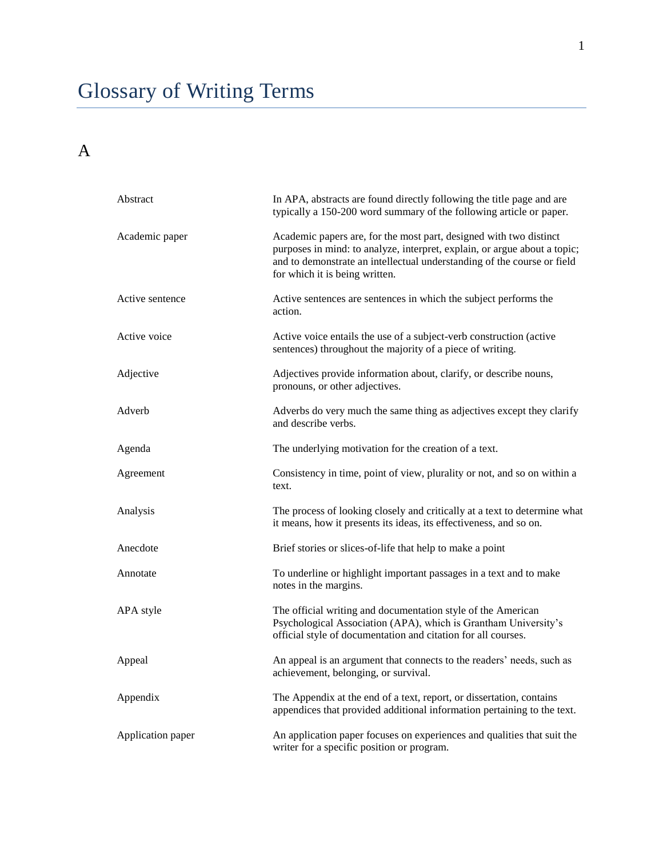# Glossary of Writing Terms

#### A

| Abstract          | In APA, abstracts are found directly following the title page and are<br>typically a 150-200 word summary of the following article or paper.                                                                                                                 |
|-------------------|--------------------------------------------------------------------------------------------------------------------------------------------------------------------------------------------------------------------------------------------------------------|
| Academic paper    | Academic papers are, for the most part, designed with two distinct<br>purposes in mind: to analyze, interpret, explain, or argue about a topic;<br>and to demonstrate an intellectual understanding of the course or field<br>for which it is being written. |
| Active sentence   | Active sentences are sentences in which the subject performs the<br>action.                                                                                                                                                                                  |
| Active voice      | Active voice entails the use of a subject-verb construction (active<br>sentences) throughout the majority of a piece of writing.                                                                                                                             |
| Adjective         | Adjectives provide information about, clarify, or describe nouns,<br>pronouns, or other adjectives.                                                                                                                                                          |
| Adverb            | Adverbs do very much the same thing as adjectives except they clarify<br>and describe verbs.                                                                                                                                                                 |
| Agenda            | The underlying motivation for the creation of a text.                                                                                                                                                                                                        |
| Agreement         | Consistency in time, point of view, plurality or not, and so on within a<br>text.                                                                                                                                                                            |
| Analysis          | The process of looking closely and critically at a text to determine what<br>it means, how it presents its ideas, its effectiveness, and so on.                                                                                                              |
| Anecdote          | Brief stories or slices-of-life that help to make a point                                                                                                                                                                                                    |
| Annotate          | To underline or highlight important passages in a text and to make<br>notes in the margins.                                                                                                                                                                  |
| APA style         | The official writing and documentation style of the American<br>Psychological Association (APA), which is Grantham University's<br>official style of documentation and citation for all courses.                                                             |
| Appeal            | An appeal is an argument that connects to the readers' needs, such as<br>achievement, belonging, or survival.                                                                                                                                                |
| Appendix          | The Appendix at the end of a text, report, or dissertation, contains<br>appendices that provided additional information pertaining to the text.                                                                                                              |
| Application paper | An application paper focuses on experiences and qualities that suit the<br>writer for a specific position or program.                                                                                                                                        |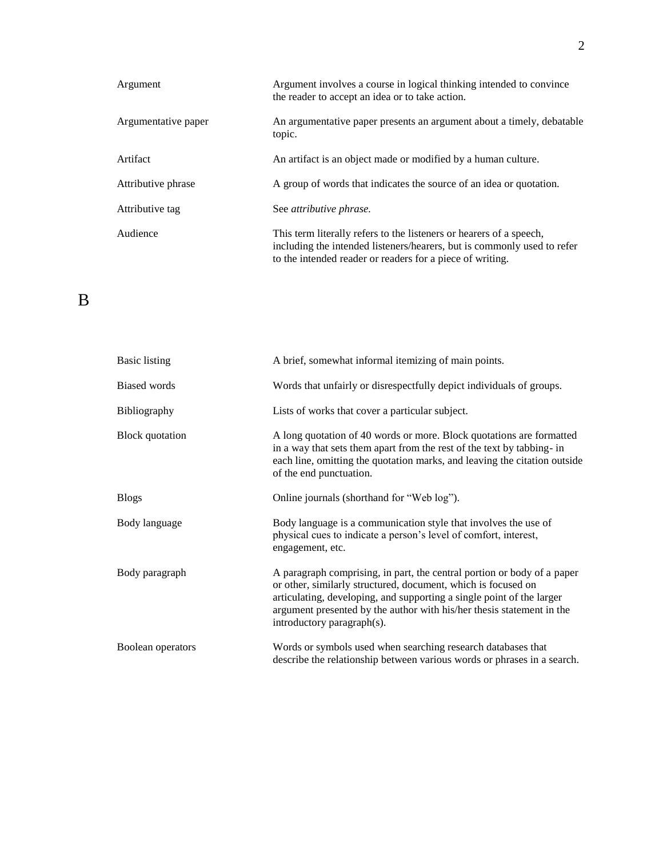| Argument            | Argument involves a course in logical thinking intended to convince<br>the reader to accept an idea or to take action.                                                                                      |
|---------------------|-------------------------------------------------------------------------------------------------------------------------------------------------------------------------------------------------------------|
| Argumentative paper | An argumentative paper presents an argument about a timely, debatable<br>topic.                                                                                                                             |
| Artifact            | An artifact is an object made or modified by a human culture.                                                                                                                                               |
| Attributive phrase  | A group of words that indicates the source of an idea or quotation.                                                                                                                                         |
| Attributive tag     | See <i>attributive phrase</i> .                                                                                                                                                                             |
| Audience            | This term literally refers to the listeners or hearers of a speech,<br>including the intended listeners/hearers, but is commonly used to refer<br>to the intended reader or readers for a piece of writing. |

#### B

| <b>Basic listing</b>   | A brief, somewhat informal itemizing of main points.                                                                                                                                                                                                                                                                     |
|------------------------|--------------------------------------------------------------------------------------------------------------------------------------------------------------------------------------------------------------------------------------------------------------------------------------------------------------------------|
| <b>Biased words</b>    | Words that unfairly or disrespectfully depict individuals of groups.                                                                                                                                                                                                                                                     |
| Bibliography           | Lists of works that cover a particular subject.                                                                                                                                                                                                                                                                          |
| <b>Block</b> quotation | A long quotation of 40 words or more. Block quotations are formatted<br>in a way that sets them apart from the rest of the text by tabbing- in<br>each line, omitting the quotation marks, and leaving the citation outside<br>of the end punctuation.                                                                   |
| <b>Blogs</b>           | Online journals (shorthand for "Web log").                                                                                                                                                                                                                                                                               |
| Body language          | Body language is a communication style that involves the use of<br>physical cues to indicate a person's level of comfort, interest,<br>engagement, etc.                                                                                                                                                                  |
| Body paragraph         | A paragraph comprising, in part, the central portion or body of a paper<br>or other, similarly structured, document, which is focused on<br>articulating, developing, and supporting a single point of the larger<br>argument presented by the author with his/her thesis statement in the<br>introductory paragraph(s). |
| Boolean operators      | Words or symbols used when searching research databases that<br>describe the relationship between various words or phrases in a search.                                                                                                                                                                                  |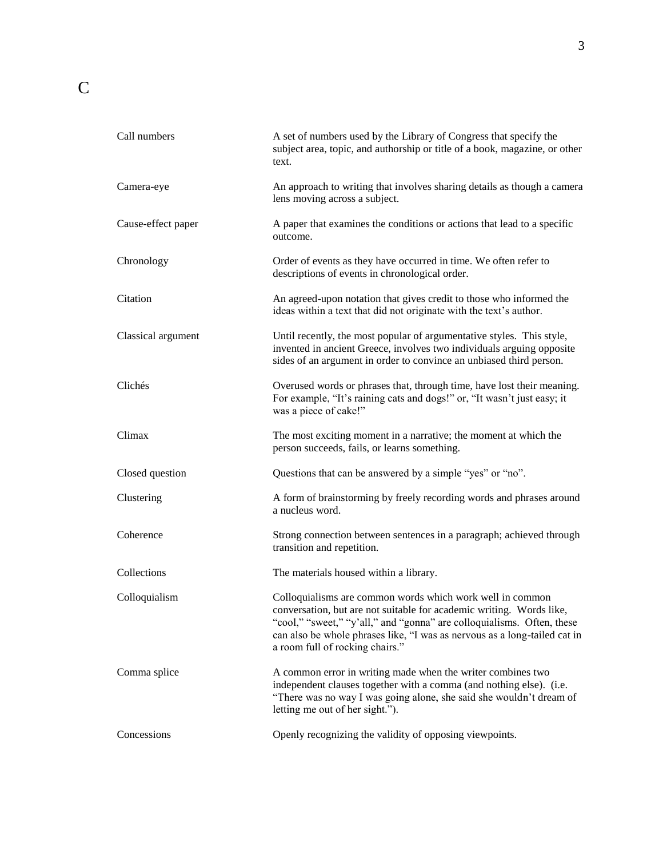| Call numbers       | A set of numbers used by the Library of Congress that specify the<br>subject area, topic, and authorship or title of a book, magazine, or other<br>text.                                                                                                                                                                    |
|--------------------|-----------------------------------------------------------------------------------------------------------------------------------------------------------------------------------------------------------------------------------------------------------------------------------------------------------------------------|
| Camera-eye         | An approach to writing that involves sharing details as though a camera<br>lens moving across a subject.                                                                                                                                                                                                                    |
| Cause-effect paper | A paper that examines the conditions or actions that lead to a specific<br>outcome.                                                                                                                                                                                                                                         |
| Chronology         | Order of events as they have occurred in time. We often refer to<br>descriptions of events in chronological order.                                                                                                                                                                                                          |
| Citation           | An agreed-upon notation that gives credit to those who informed the<br>ideas within a text that did not originate with the text's author.                                                                                                                                                                                   |
| Classical argument | Until recently, the most popular of argumentative styles. This style,<br>invented in ancient Greece, involves two individuals arguing opposite<br>sides of an argument in order to convince an unbiased third person.                                                                                                       |
| Clichés            | Overused words or phrases that, through time, have lost their meaning.<br>For example, "It's raining cats and dogs!" or, "It wasn't just easy; it<br>was a piece of cake!"                                                                                                                                                  |
| Climax             | The most exciting moment in a narrative; the moment at which the<br>person succeeds, fails, or learns something.                                                                                                                                                                                                            |
| Closed question    | Questions that can be answered by a simple "yes" or "no".                                                                                                                                                                                                                                                                   |
| Clustering         | A form of brainstorming by freely recording words and phrases around<br>a nucleus word.                                                                                                                                                                                                                                     |
| Coherence          | Strong connection between sentences in a paragraph; achieved through<br>transition and repetition.                                                                                                                                                                                                                          |
| Collections        | The materials housed within a library.                                                                                                                                                                                                                                                                                      |
| Colloquialism      | Colloquialisms are common words which work well in common<br>conversation, but are not suitable for academic writing. Words like,<br>"cool," "sweet," "y'all," and "gonna" are colloquialisms. Often, these<br>can also be whole phrases like, "I was as nervous as a long-tailed cat in<br>a room full of rocking chairs." |
| Comma splice       | A common error in writing made when the writer combines two<br>independent clauses together with a comma (and nothing else). (i.e.<br>"There was no way I was going alone, she said she wouldn't dream of<br>letting me out of her sight.").                                                                                |
| Concessions        | Openly recognizing the validity of opposing viewpoints.                                                                                                                                                                                                                                                                     |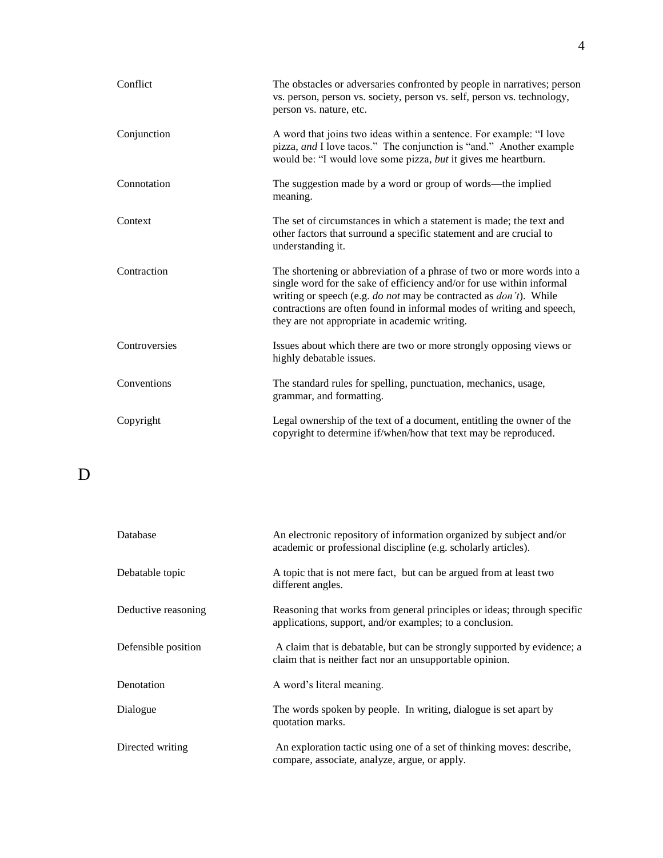| Conflict      | The obstacles or adversaries confronted by people in narratives; person<br>vs. person, person vs. society, person vs. self, person vs. technology,<br>person vs. nature, etc.                                                                                                                                                                  |
|---------------|------------------------------------------------------------------------------------------------------------------------------------------------------------------------------------------------------------------------------------------------------------------------------------------------------------------------------------------------|
| Conjunction   | A word that joins two ideas within a sentence. For example: "I love<br>pizza, and I love tacos." The conjunction is "and." Another example<br>would be: "I would love some pizza, but it gives me heartburn.                                                                                                                                   |
| Connotation   | The suggestion made by a word or group of words—the implied<br>meaning.                                                                                                                                                                                                                                                                        |
| Context       | The set of circumstances in which a statement is made; the text and<br>other factors that surround a specific statement and are crucial to<br>understanding it.                                                                                                                                                                                |
| Contraction   | The shortening or abbreviation of a phrase of two or more words into a<br>single word for the sake of efficiency and/or for use within informal<br>writing or speech (e.g. do not may be contracted as don't). While<br>contractions are often found in informal modes of writing and speech,<br>they are not appropriate in academic writing. |
| Controversies | Issues about which there are two or more strongly opposing views or<br>highly debatable issues.                                                                                                                                                                                                                                                |
| Conventions   | The standard rules for spelling, punctuation, mechanics, usage,<br>grammar, and formatting.                                                                                                                                                                                                                                                    |
| Copyright     | Legal ownership of the text of a document, entitling the owner of the<br>copyright to determine if/when/how that text may be reproduced.                                                                                                                                                                                                       |

D

| Database            | An electronic repository of information organized by subject and/or<br>academic or professional discipline (e.g. scholarly articles). |
|---------------------|---------------------------------------------------------------------------------------------------------------------------------------|
| Debatable topic     | A topic that is not mere fact, but can be argued from at least two<br>different angles.                                               |
| Deductive reasoning | Reasoning that works from general principles or ideas; through specific<br>applications, support, and/or examples; to a conclusion.   |
| Defensible position | A claim that is debatable, but can be strongly supported by evidence; a<br>claim that is neither fact nor an unsupportable opinion.   |
| Denotation          | A word's literal meaning.                                                                                                             |
| Dialogue            | The words spoken by people. In writing, dialogue is set apart by<br>quotation marks.                                                  |
| Directed writing    | An exploration tactic using one of a set of thinking moves: describe,<br>compare, associate, analyze, argue, or apply.                |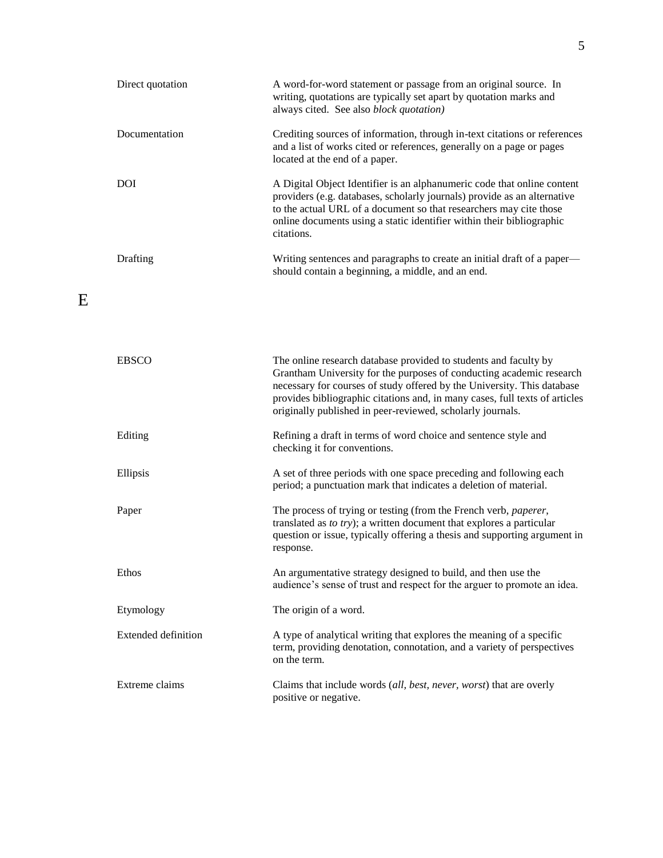| Direct quotation           | A word-for-word statement or passage from an original source. In<br>writing, quotations are typically set apart by quotation marks and<br>always cited. See also block quotation)                                                                                                                                                                                |
|----------------------------|------------------------------------------------------------------------------------------------------------------------------------------------------------------------------------------------------------------------------------------------------------------------------------------------------------------------------------------------------------------|
| Documentation              | Crediting sources of information, through in-text citations or references<br>and a list of works cited or references, generally on a page or pages<br>located at the end of a paper.                                                                                                                                                                             |
| <b>DOI</b>                 | A Digital Object Identifier is an alphanumeric code that online content<br>providers (e.g. databases, scholarly journals) provide as an alternative<br>to the actual URL of a document so that researchers may cite those<br>online documents using a static identifier within their bibliographic<br>citations.                                                 |
| Drafting                   | Writing sentences and paragraphs to create an initial draft of a paper—<br>should contain a beginning, a middle, and an end.                                                                                                                                                                                                                                     |
|                            |                                                                                                                                                                                                                                                                                                                                                                  |
| <b>EBSCO</b>               | The online research database provided to students and faculty by<br>Grantham University for the purposes of conducting academic research<br>necessary for courses of study offered by the University. This database<br>provides bibliographic citations and, in many cases, full texts of articles<br>originally published in peer-reviewed, scholarly journals. |
| Editing                    | Refining a draft in terms of word choice and sentence style and<br>checking it for conventions.                                                                                                                                                                                                                                                                  |
| Ellipsis                   | A set of three periods with one space preceding and following each<br>period; a punctuation mark that indicates a deletion of material.                                                                                                                                                                                                                          |
| Paper                      | The process of trying or testing (from the French verb, paperer,<br>translated as to try); a written document that explores a particular<br>question or issue, typically offering a thesis and supporting argument in<br>response.                                                                                                                               |
| Ethos                      | An argumentative strategy designed to build, and then use the<br>audience's sense of trust and respect for the arguer to promote an idea.                                                                                                                                                                                                                        |
| Etymology                  | The origin of a word.                                                                                                                                                                                                                                                                                                                                            |
| <b>Extended definition</b> | A type of analytical writing that explores the meaning of a specific<br>term, providing denotation, connotation, and a variety of perspectives<br>on the term.                                                                                                                                                                                                   |
| Extreme claims             | Claims that include words <i>(all, best, never, worst)</i> that are overly<br>positive or negative.                                                                                                                                                                                                                                                              |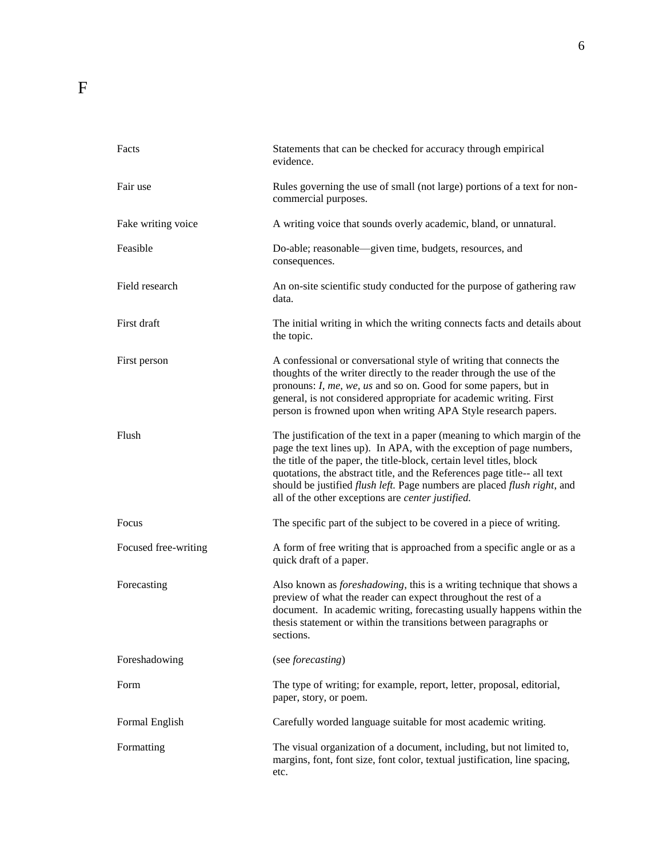| Facts                | Statements that can be checked for accuracy through empirical<br>evidence.                                                                                                                                                                                                                                                                                                                                                                    |
|----------------------|-----------------------------------------------------------------------------------------------------------------------------------------------------------------------------------------------------------------------------------------------------------------------------------------------------------------------------------------------------------------------------------------------------------------------------------------------|
| Fair use             | Rules governing the use of small (not large) portions of a text for non-<br>commercial purposes.                                                                                                                                                                                                                                                                                                                                              |
| Fake writing voice   | A writing voice that sounds overly academic, bland, or unnatural.                                                                                                                                                                                                                                                                                                                                                                             |
| Feasible             | Do-able; reasonable-given time, budgets, resources, and<br>consequences.                                                                                                                                                                                                                                                                                                                                                                      |
| Field research       | An on-site scientific study conducted for the purpose of gathering raw<br>data.                                                                                                                                                                                                                                                                                                                                                               |
| First draft          | The initial writing in which the writing connects facts and details about<br>the topic.                                                                                                                                                                                                                                                                                                                                                       |
| First person         | A confessional or conversational style of writing that connects the<br>thoughts of the writer directly to the reader through the use of the<br>pronouns: I, me, we, us and so on. Good for some papers, but in<br>general, is not considered appropriate for academic writing. First<br>person is frowned upon when writing APA Style research papers.                                                                                        |
| Flush                | The justification of the text in a paper (meaning to which margin of the<br>page the text lines up). In APA, with the exception of page numbers,<br>the title of the paper, the title-block, certain level titles, block<br>quotations, the abstract title, and the References page title-- all text<br>should be justified flush left. Page numbers are placed flush right, and<br>all of the other exceptions are <i>center justified</i> . |
| Focus                | The specific part of the subject to be covered in a piece of writing.                                                                                                                                                                                                                                                                                                                                                                         |
| Focused free-writing | A form of free writing that is approached from a specific angle or as a<br>quick draft of a paper.                                                                                                                                                                                                                                                                                                                                            |
| Forecasting          | Also known as <i>foreshadowing</i> , this is a writing technique that shows a<br>preview of what the reader can expect throughout the rest of a<br>document. In academic writing, forecasting usually happens within the<br>thesis statement or within the transitions between paragraphs or<br>sections.                                                                                                                                     |
| Foreshadowing        | (see forecasting)                                                                                                                                                                                                                                                                                                                                                                                                                             |
| Form                 | The type of writing; for example, report, letter, proposal, editorial,<br>paper, story, or poem.                                                                                                                                                                                                                                                                                                                                              |
| Formal English       | Carefully worded language suitable for most academic writing.                                                                                                                                                                                                                                                                                                                                                                                 |
| Formatting           | The visual organization of a document, including, but not limited to,<br>margins, font, font size, font color, textual justification, line spacing,<br>etc.                                                                                                                                                                                                                                                                                   |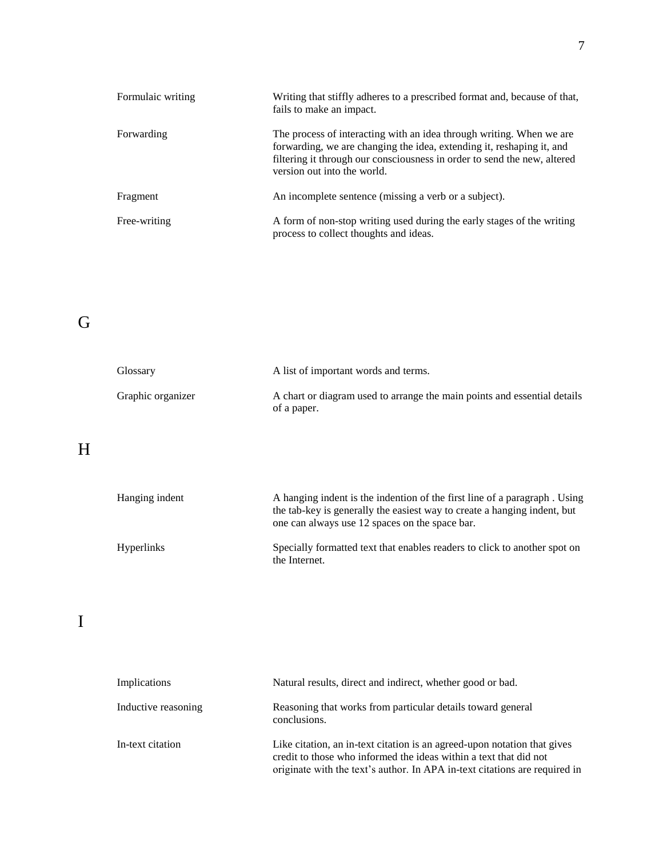| Formulaic writing | Writing that stiffly adheres to a prescribed format and, because of that,<br>fails to make an impact.                                                                                                                                                    |
|-------------------|----------------------------------------------------------------------------------------------------------------------------------------------------------------------------------------------------------------------------------------------------------|
| Forwarding        | The process of interacting with an idea through writing. When we are<br>forwarding, we are changing the idea, extending it, reshaping it, and<br>filtering it through our consciousness in order to send the new, altered<br>version out into the world. |
| Fragment          | An incomplete sentence (missing a verb or a subject).                                                                                                                                                                                                    |
| Free-writing      | A form of non-stop writing used during the early stages of the writing<br>process to collect thoughts and ideas.                                                                                                                                         |

# G

| Glossary          | A list of important words and terms.                                                    |
|-------------------|-----------------------------------------------------------------------------------------|
| Graphic organizer | A chart or diagram used to arrange the main points and essential details<br>of a paper. |

# H

| Hanging indent    | A hanging indent is the indention of the first line of a paragraph. Using<br>the tab-key is generally the easiest way to create a hanging indent, but<br>one can always use 12 spaces on the space bar. |
|-------------------|---------------------------------------------------------------------------------------------------------------------------------------------------------------------------------------------------------|
| <b>Hyperlinks</b> | Specially formatted text that enables readers to click to another spot on<br>the Internet.                                                                                                              |

#### I

| Implications        | Natural results, direct and indirect, whether good or bad.                                                                                                                                                                  |
|---------------------|-----------------------------------------------------------------------------------------------------------------------------------------------------------------------------------------------------------------------------|
| Inductive reasoning | Reasoning that works from particular details toward general<br>conclusions.                                                                                                                                                 |
| In-text citation    | Like citation, an in-text citation is an agreed-upon notation that gives<br>credit to those who informed the ideas within a text that did not<br>originate with the text's author. In APA in-text citations are required in |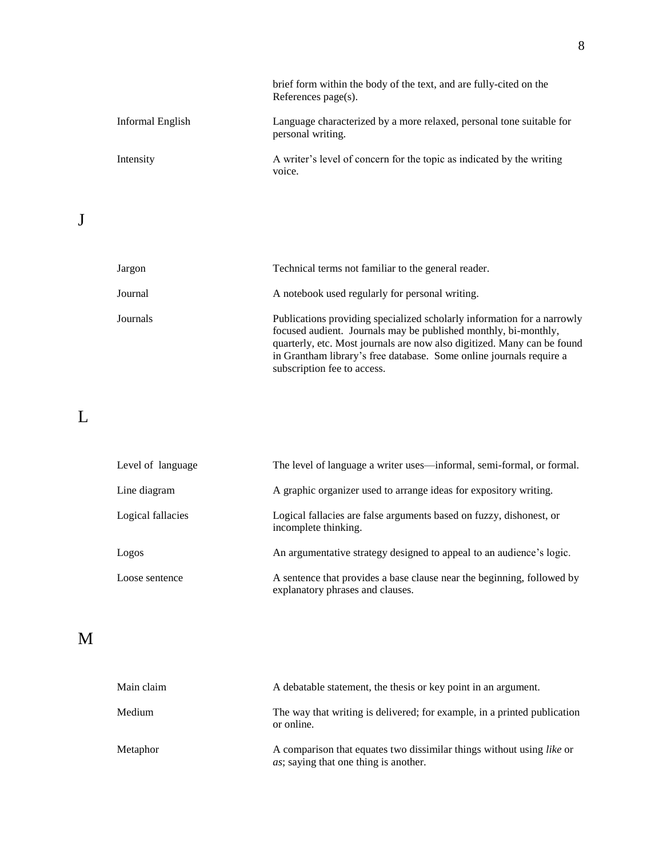|                  | brief form within the body of the text, and are fully-cited on the<br>References $page(s)$ . |
|------------------|----------------------------------------------------------------------------------------------|
| Informal English | Language characterized by a more relaxed, personal tone suitable for<br>personal writing.    |
| Intensity        | A writer's level of concern for the topic as indicated by the writing<br>voice.              |

| Jargon   | Technical terms not familiar to the general reader.                                                                                                                                                                                                                                                                         |
|----------|-----------------------------------------------------------------------------------------------------------------------------------------------------------------------------------------------------------------------------------------------------------------------------------------------------------------------------|
| Journal  | A notebook used regularly for personal writing.                                                                                                                                                                                                                                                                             |
| Journals | Publications providing specialized scholarly information for a narrowly<br>focused audient. Journals may be published monthly, bi-monthly,<br>quarterly, etc. Most journals are now also digitized. Many can be found<br>in Grantham library's free database. Some online journals require a<br>subscription fee to access. |

### L

| Level of language | The level of language a writer uses—informal, semi-formal, or formal.                                      |
|-------------------|------------------------------------------------------------------------------------------------------------|
| Line diagram      | A graphic organizer used to arrange ideas for expository writing.                                          |
| Logical fallacies | Logical fallacies are false arguments based on fuzzy, dishonest, or<br>incomplete thinking.                |
| Logos             | An argumentative strategy designed to appeal to an audience's logic.                                       |
| Loose sentence    | A sentence that provides a base clause near the beginning, followed by<br>explanatory phrases and clauses. |

### M

| Main claim | A debatable statement, the thesis or key point in an argument.                                                                |
|------------|-------------------------------------------------------------------------------------------------------------------------------|
| Medium     | The way that writing is delivered; for example, in a printed publication<br>or online.                                        |
| Metaphor   | A comparison that equates two dissimilar things without using <i>like</i> or<br><i>as</i> ; saying that one thing is another. |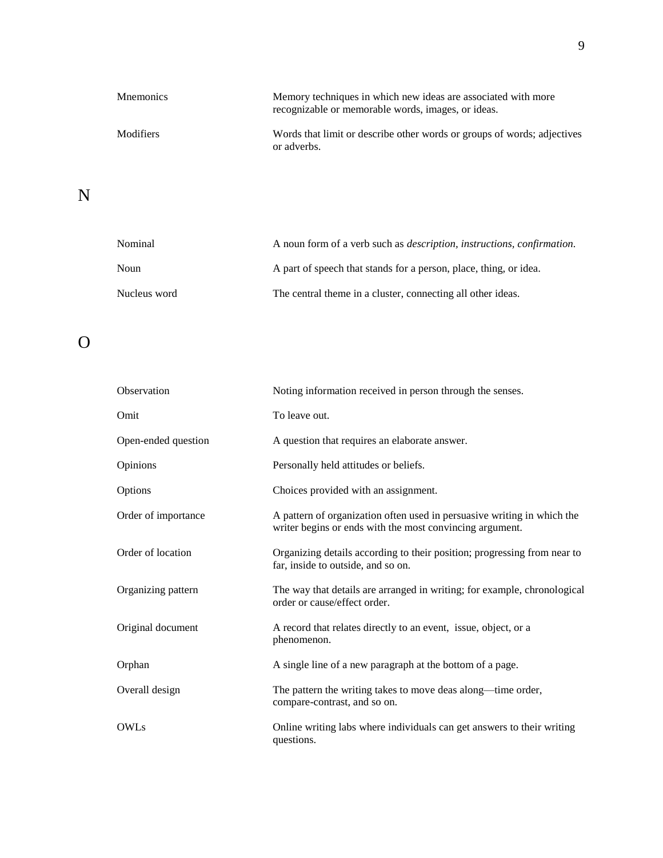| <b>M</b> nemonics | Memory techniques in which new ideas are associated with more<br>recognizable or memorable words, images, or ideas. |
|-------------------|---------------------------------------------------------------------------------------------------------------------|
| Modifiers         | Words that limit or describe other words or groups of words; adjectives<br>or adverbs.                              |

# N

| Nominal      | A noun form of a verb such as <i>description</i> , <i>instructions</i> , <i>confirmation</i> . |
|--------------|------------------------------------------------------------------------------------------------|
| Noun         | A part of speech that stands for a person, place, thing, or idea.                              |
| Nucleus word | The central theme in a cluster, connecting all other ideas.                                    |

# O

| Observation         | Noting information received in person through the senses.                                                                           |
|---------------------|-------------------------------------------------------------------------------------------------------------------------------------|
| Omit                | To leave out.                                                                                                                       |
| Open-ended question | A question that requires an elaborate answer.                                                                                       |
| Opinions            | Personally held attitudes or beliefs.                                                                                               |
| Options             | Choices provided with an assignment.                                                                                                |
| Order of importance | A pattern of organization often used in persuasive writing in which the<br>writer begins or ends with the most convincing argument. |
| Order of location   | Organizing details according to their position; progressing from near to<br>far, inside to outside, and so on.                      |
| Organizing pattern  | The way that details are arranged in writing; for example, chronological<br>order or cause/effect order.                            |
| Original document   | A record that relates directly to an event, issue, object, or a<br>phenomenon.                                                      |
| Orphan              | A single line of a new paragraph at the bottom of a page.                                                                           |
| Overall design      | The pattern the writing takes to move deas along—time order,<br>compare-contrast, and so on.                                        |
| <b>OWLs</b>         | Online writing labs where individuals can get answers to their writing<br>questions.                                                |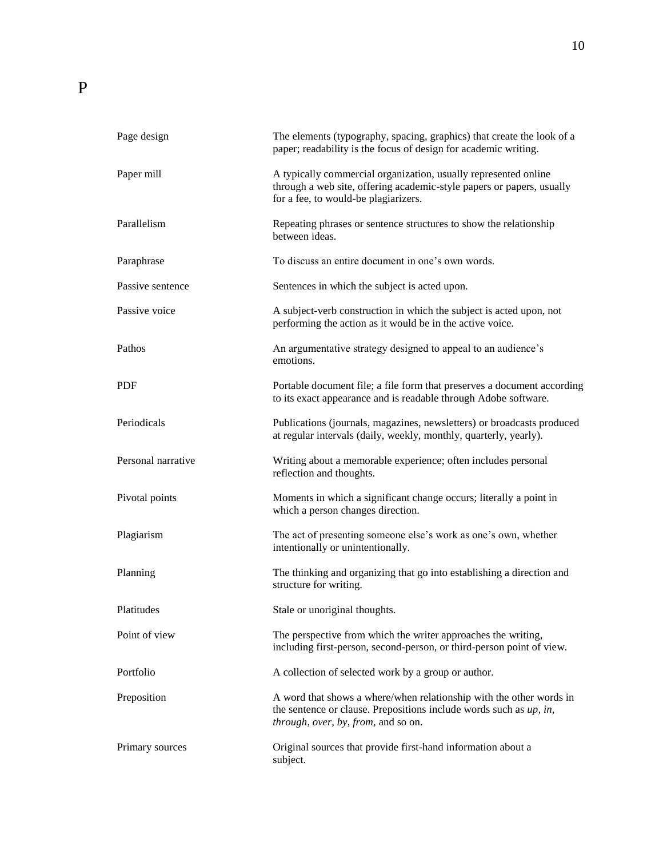| Page design        | The elements (typography, spacing, graphics) that create the look of a<br>paper; readability is the focus of design for academic writing.                                           |
|--------------------|-------------------------------------------------------------------------------------------------------------------------------------------------------------------------------------|
| Paper mill         | A typically commercial organization, usually represented online<br>through a web site, offering academic-style papers or papers, usually<br>for a fee, to would-be plagiarizers.    |
| Parallelism        | Repeating phrases or sentence structures to show the relationship<br>between ideas.                                                                                                 |
| Paraphrase         | To discuss an entire document in one's own words.                                                                                                                                   |
| Passive sentence   | Sentences in which the subject is acted upon.                                                                                                                                       |
| Passive voice      | A subject-verb construction in which the subject is acted upon, not<br>performing the action as it would be in the active voice.                                                    |
| Pathos             | An argumentative strategy designed to appeal to an audience's<br>emotions.                                                                                                          |
| <b>PDF</b>         | Portable document file; a file form that preserves a document according<br>to its exact appearance and is readable through Adobe software.                                          |
| Periodicals        | Publications (journals, magazines, newsletters) or broadcasts produced<br>at regular intervals (daily, weekly, monthly, quarterly, yearly).                                         |
| Personal narrative | Writing about a memorable experience; often includes personal<br>reflection and thoughts.                                                                                           |
| Pivotal points     | Moments in which a significant change occurs; literally a point in<br>which a person changes direction.                                                                             |
| Plagiarism         | The act of presenting someone else's work as one's own, whether<br>intentionally or unintentionally.                                                                                |
| Planning           | The thinking and organizing that go into establishing a direction and<br>structure for writing.                                                                                     |
| Platitudes         | Stale or unoriginal thoughts.                                                                                                                                                       |
| Point of view      | The perspective from which the writer approaches the writing,<br>including first-person, second-person, or third-person point of view.                                              |
| Portfolio          | A collection of selected work by a group or author.                                                                                                                                 |
| Preposition        | A word that shows a where/when relationship with the other words in<br>the sentence or clause. Prepositions include words such as $up$ , in,<br>through, over, by, from, and so on. |
| Primary sources    | Original sources that provide first-hand information about a<br>subject.                                                                                                            |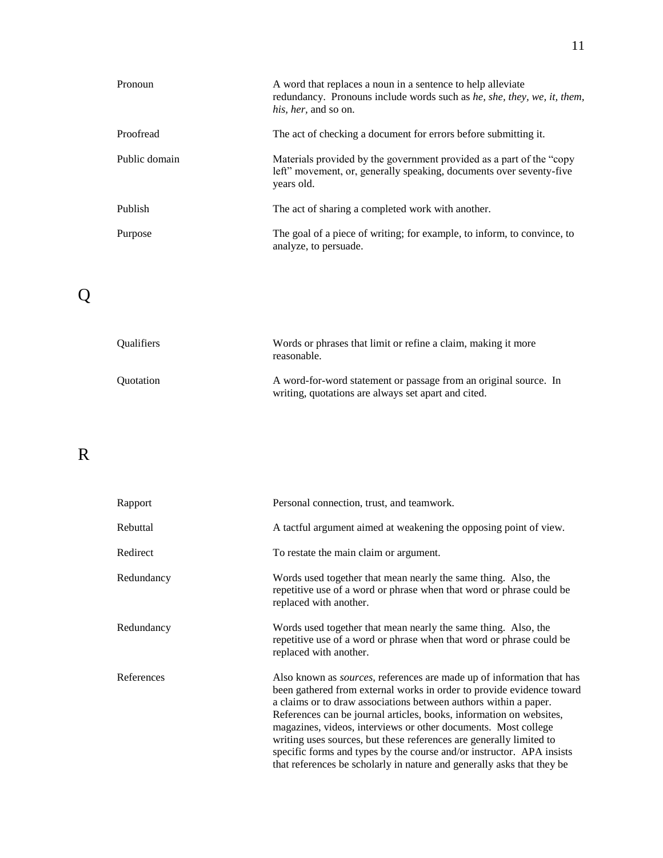| Pronoun       | A word that replaces a noun in a sentence to help alleviate<br>redundancy. Pronouns include words such as he, she, they, we, it, them,<br><i>his, her, and so on.</i> |
|---------------|-----------------------------------------------------------------------------------------------------------------------------------------------------------------------|
| Proofread     | The act of checking a document for errors before submitting it.                                                                                                       |
| Public domain | Materials provided by the government provided as a part of the "copy"<br>left" movement, or, generally speaking, documents over seventy-five<br>years old.            |
| Publish       | The act of sharing a completed work with another.                                                                                                                     |
| Purpose       | The goal of a piece of writing; for example, to inform, to convince, to<br>analyze, to persuade.                                                                      |

# Q

| <b>Oualifiers</b> | Words or phrases that limit or refine a claim, making it more<br>reasonable.                                            |
|-------------------|-------------------------------------------------------------------------------------------------------------------------|
| <b>Ouotation</b>  | A word-for-word statement or passage from an original source. In<br>writing, quotations are always set apart and cited. |

### R

| Rapport    | Personal connection, trust, and teamwork.                                                                                                                                                                                                                                                                                                                                                                                                                                                                                                                                                     |
|------------|-----------------------------------------------------------------------------------------------------------------------------------------------------------------------------------------------------------------------------------------------------------------------------------------------------------------------------------------------------------------------------------------------------------------------------------------------------------------------------------------------------------------------------------------------------------------------------------------------|
| Rebuttal   | A tactful argument aimed at weakening the opposing point of view.                                                                                                                                                                                                                                                                                                                                                                                                                                                                                                                             |
| Redirect   | To restate the main claim or argument.                                                                                                                                                                                                                                                                                                                                                                                                                                                                                                                                                        |
| Redundancy | Words used together that mean nearly the same thing. Also, the<br>repetitive use of a word or phrase when that word or phrase could be<br>replaced with another.                                                                                                                                                                                                                                                                                                                                                                                                                              |
| Redundancy | Words used together that mean nearly the same thing. Also, the<br>repetitive use of a word or phrase when that word or phrase could be<br>replaced with another.                                                                                                                                                                                                                                                                                                                                                                                                                              |
| References | Also known as <i>sources</i> , references are made up of information that has<br>been gathered from external works in order to provide evidence toward<br>a claims or to draw associations between authors within a paper.<br>References can be journal articles, books, information on websites,<br>magazines, videos, interviews or other documents. Most college<br>writing uses sources, but these references are generally limited to<br>specific forms and types by the course and/or instructor. APA insists<br>that references be scholarly in nature and generally asks that they be |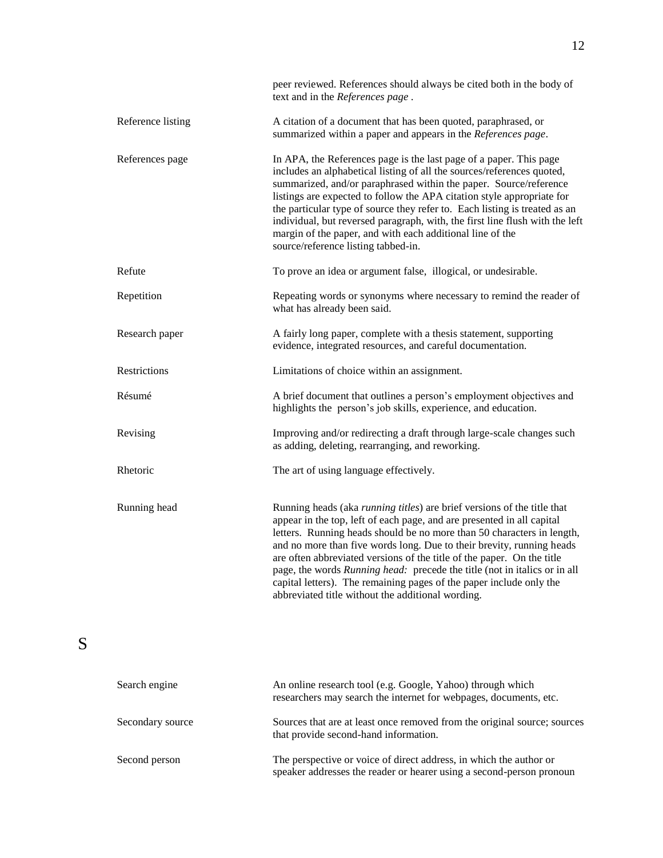|                   | peer reviewed. References should always be cited both in the body of<br>text and in the References page.                                                                                                                                                                                                                                                                                                                                                                                                                                                                                |
|-------------------|-----------------------------------------------------------------------------------------------------------------------------------------------------------------------------------------------------------------------------------------------------------------------------------------------------------------------------------------------------------------------------------------------------------------------------------------------------------------------------------------------------------------------------------------------------------------------------------------|
| Reference listing | A citation of a document that has been quoted, paraphrased, or<br>summarized within a paper and appears in the References page.                                                                                                                                                                                                                                                                                                                                                                                                                                                         |
| References page   | In APA, the References page is the last page of a paper. This page<br>includes an alphabetical listing of all the sources/references quoted,<br>summarized, and/or paraphrased within the paper. Source/reference<br>listings are expected to follow the APA citation style appropriate for<br>the particular type of source they refer to. Each listing is treated as an<br>individual, but reversed paragraph, with, the first line flush with the left<br>margin of the paper, and with each additional line of the<br>source/reference listing tabbed-in.                           |
| Refute            | To prove an idea or argument false, illogical, or undesirable.                                                                                                                                                                                                                                                                                                                                                                                                                                                                                                                          |
| Repetition        | Repeating words or synonyms where necessary to remind the reader of<br>what has already been said.                                                                                                                                                                                                                                                                                                                                                                                                                                                                                      |
| Research paper    | A fairly long paper, complete with a thesis statement, supporting<br>evidence, integrated resources, and careful documentation.                                                                                                                                                                                                                                                                                                                                                                                                                                                         |
| Restrictions      | Limitations of choice within an assignment.                                                                                                                                                                                                                                                                                                                                                                                                                                                                                                                                             |
| Résumé            | A brief document that outlines a person's employment objectives and<br>highlights the person's job skills, experience, and education.                                                                                                                                                                                                                                                                                                                                                                                                                                                   |
| Revising          | Improving and/or redirecting a draft through large-scale changes such<br>as adding, deleting, rearranging, and reworking.                                                                                                                                                                                                                                                                                                                                                                                                                                                               |
| Rhetoric          | The art of using language effectively.                                                                                                                                                                                                                                                                                                                                                                                                                                                                                                                                                  |
| Running head      | Running heads (aka running titles) are brief versions of the title that<br>appear in the top, left of each page, and are presented in all capital<br>letters. Running heads should be no more than 50 characters in length,<br>and no more than five words long. Due to their brevity, running heads<br>are often abbreviated versions of the title of the paper. On the title<br>page, the words Running head: precede the title (not in italics or in all<br>capital letters). The remaining pages of the paper include only the<br>abbreviated title without the additional wording. |
| Search engine     | An online research tool (e.g. Google, Yahoo) through which<br>researchers may search the internet for webpages, documents, etc.                                                                                                                                                                                                                                                                                                                                                                                                                                                         |
| Secondary source  | Sources that are at least once removed from the original source; sources<br>that provide second-hand information.                                                                                                                                                                                                                                                                                                                                                                                                                                                                       |

Second person The perspective or voice of direct address, in which the author or speaker addresses the reader or hearer using a second-person pronoun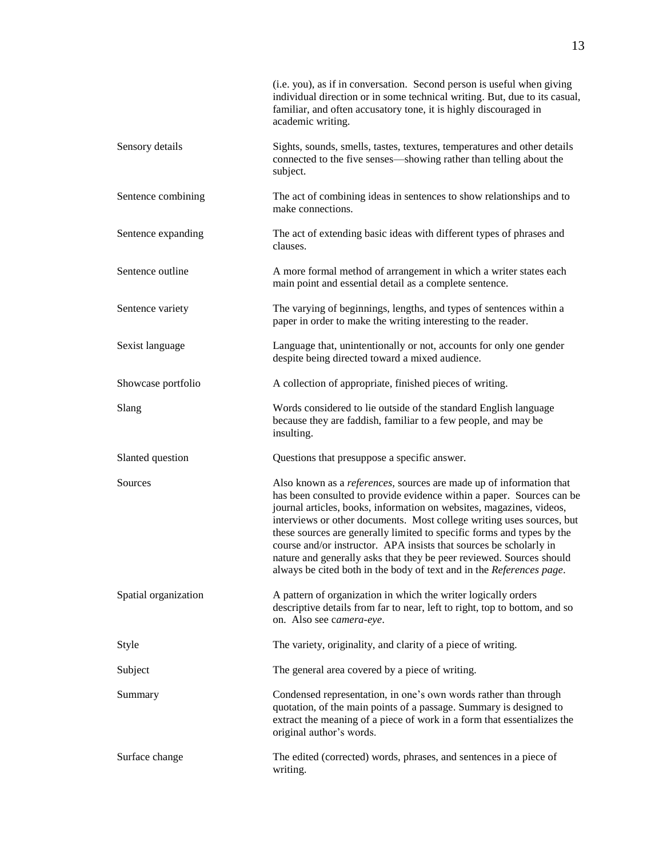|                      | (i.e. you), as if in conversation. Second person is useful when giving<br>individual direction or in some technical writing. But, due to its casual,<br>familiar, and often accusatory tone, it is highly discouraged in<br>academic writing.                                                                                                                                                                                                                                                                                                                                                         |
|----------------------|-------------------------------------------------------------------------------------------------------------------------------------------------------------------------------------------------------------------------------------------------------------------------------------------------------------------------------------------------------------------------------------------------------------------------------------------------------------------------------------------------------------------------------------------------------------------------------------------------------|
| Sensory details      | Sights, sounds, smells, tastes, textures, temperatures and other details<br>connected to the five senses—showing rather than telling about the<br>subject.                                                                                                                                                                                                                                                                                                                                                                                                                                            |
| Sentence combining   | The act of combining ideas in sentences to show relationships and to<br>make connections.                                                                                                                                                                                                                                                                                                                                                                                                                                                                                                             |
| Sentence expanding   | The act of extending basic ideas with different types of phrases and<br>clauses.                                                                                                                                                                                                                                                                                                                                                                                                                                                                                                                      |
| Sentence outline     | A more formal method of arrangement in which a writer states each<br>main point and essential detail as a complete sentence.                                                                                                                                                                                                                                                                                                                                                                                                                                                                          |
| Sentence variety     | The varying of beginnings, lengths, and types of sentences within a<br>paper in order to make the writing interesting to the reader.                                                                                                                                                                                                                                                                                                                                                                                                                                                                  |
| Sexist language      | Language that, unintentionally or not, accounts for only one gender<br>despite being directed toward a mixed audience.                                                                                                                                                                                                                                                                                                                                                                                                                                                                                |
| Showcase portfolio   | A collection of appropriate, finished pieces of writing.                                                                                                                                                                                                                                                                                                                                                                                                                                                                                                                                              |
| Slang                | Words considered to lie outside of the standard English language<br>because they are faddish, familiar to a few people, and may be<br>insulting.                                                                                                                                                                                                                                                                                                                                                                                                                                                      |
| Slanted question     | Questions that presuppose a specific answer.                                                                                                                                                                                                                                                                                                                                                                                                                                                                                                                                                          |
| Sources              | Also known as a <i>references</i> , sources are made up of information that<br>has been consulted to provide evidence within a paper. Sources can be<br>journal articles, books, information on websites, magazines, videos,<br>interviews or other documents. Most college writing uses sources, but<br>these sources are generally limited to specific forms and types by the<br>course and/or instructor. APA insists that sources be scholarly in<br>nature and generally asks that they be peer reviewed. Sources should<br>always be cited both in the body of text and in the References page. |
| Spatial organization | A pattern of organization in which the writer logically orders<br>descriptive details from far to near, left to right, top to bottom, and so<br>on. Also see camera-eye.                                                                                                                                                                                                                                                                                                                                                                                                                              |
| Style                | The variety, originality, and clarity of a piece of writing.                                                                                                                                                                                                                                                                                                                                                                                                                                                                                                                                          |
| Subject              | The general area covered by a piece of writing.                                                                                                                                                                                                                                                                                                                                                                                                                                                                                                                                                       |
| Summary              | Condensed representation, in one's own words rather than through<br>quotation, of the main points of a passage. Summary is designed to<br>extract the meaning of a piece of work in a form that essentializes the<br>original author's words.                                                                                                                                                                                                                                                                                                                                                         |
| Surface change       | The edited (corrected) words, phrases, and sentences in a piece of<br>writing.                                                                                                                                                                                                                                                                                                                                                                                                                                                                                                                        |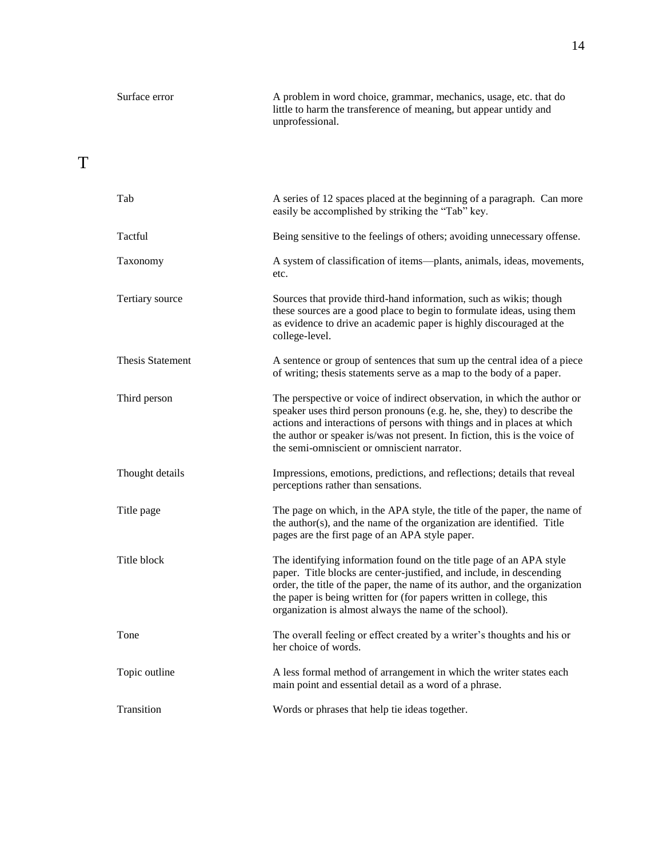| Surface error | A problem in word choice, grammar, mechanics, usage, etc. that do<br>little to harm the transference of meaning, but appear untidy and<br>unprofessional. |
|---------------|-----------------------------------------------------------------------------------------------------------------------------------------------------------|
|               |                                                                                                                                                           |

#### T

| Tab                     | A series of 12 spaces placed at the beginning of a paragraph. Can more<br>easily be accomplished by striking the "Tab" key.                                                                                                                                                                                                                                 |
|-------------------------|-------------------------------------------------------------------------------------------------------------------------------------------------------------------------------------------------------------------------------------------------------------------------------------------------------------------------------------------------------------|
| Tactful                 | Being sensitive to the feelings of others; avoiding unnecessary offense.                                                                                                                                                                                                                                                                                    |
| Taxonomy                | A system of classification of items--plants, animals, ideas, movements,<br>etc.                                                                                                                                                                                                                                                                             |
| Tertiary source         | Sources that provide third-hand information, such as wikis; though<br>these sources are a good place to begin to formulate ideas, using them<br>as evidence to drive an academic paper is highly discouraged at the<br>college-level.                                                                                                                       |
| <b>Thesis Statement</b> | A sentence or group of sentences that sum up the central idea of a piece<br>of writing; thesis statements serve as a map to the body of a paper.                                                                                                                                                                                                            |
| Third person            | The perspective or voice of indirect observation, in which the author or<br>speaker uses third person pronouns (e.g. he, she, they) to describe the<br>actions and interactions of persons with things and in places at which<br>the author or speaker is/was not present. In fiction, this is the voice of<br>the semi-omniscient or omniscient narrator.  |
| Thought details         | Impressions, emotions, predictions, and reflections; details that reveal<br>perceptions rather than sensations.                                                                                                                                                                                                                                             |
| Title page              | The page on which, in the APA style, the title of the paper, the name of<br>the author(s), and the name of the organization are identified. Title<br>pages are the first page of an APA style paper.                                                                                                                                                        |
| Title block             | The identifying information found on the title page of an APA style<br>paper. Title blocks are center-justified, and include, in descending<br>order, the title of the paper, the name of its author, and the organization<br>the paper is being written for (for papers written in college, this<br>organization is almost always the name of the school). |
| Tone                    | The overall feeling or effect created by a writer's thoughts and his or<br>her choice of words.                                                                                                                                                                                                                                                             |
| Topic outline           | A less formal method of arrangement in which the writer states each<br>main point and essential detail as a word of a phrase.                                                                                                                                                                                                                               |
| Transition              | Words or phrases that help tie ideas together.                                                                                                                                                                                                                                                                                                              |